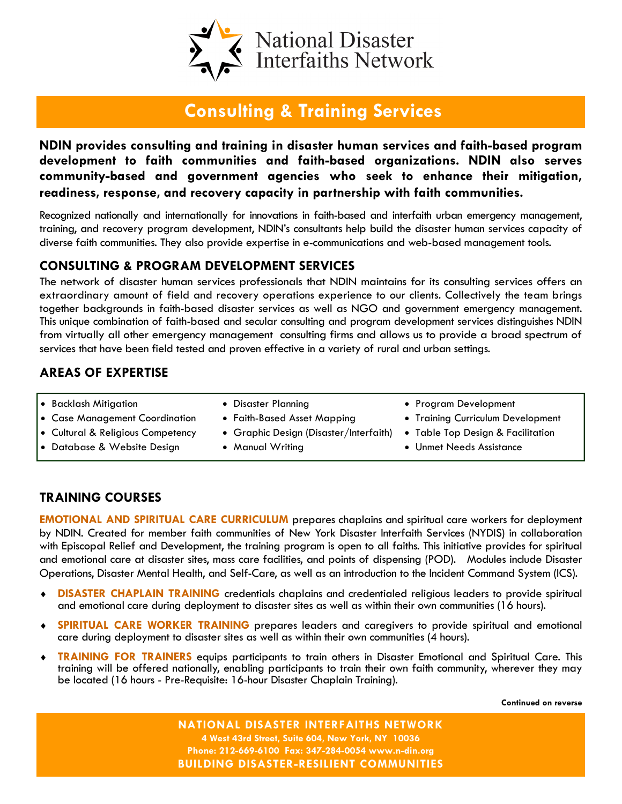

# Consulting & Training Services

NDIN provides consulting and training in disaster human services and faith-based program development to faith communities and faith-based organizations. NDIN also serves community-based and government agencies who seek to enhance their mitigation, readiness, response, and recovery capacity in partnership with faith communities.

Recognized nationally and internationally for innovations in faith-based and interfaith urban emergency management, training, and recovery program development, NDIN's consultants help build the disaster human services capacity of diverse faith communities. They also provide expertise in e-communications and web-based management tools.

### CONSULTING & PROGRAM DEVELOPMENT SERVICES

The network of disaster human services professionals that NDIN maintains for its consulting services offers an extraordinary amount of field and recovery operations experience to our clients. Collectively the team brings together backgrounds in faith-based disaster services as well as NGO and government emergency management. This unique combination of faith-based and secular consulting and program development services distinguishes NDIN from virtually all other emergency management consulting firms and allows us to provide a broad spectrum of services that have been field tested and proven effective in a variety of rural and urban settings.

## AREAS OF EXPERTISE

- Backlash Mitigation
- Case Management Coordination
- Cultural & Religious Competency
- Database & Website Design
- Disaster Planning
- Faith-Based Asset Mapping
- Graphic Design (Disaster/Interfaith)
- Manual Writing
- Program Development
- Training Curriculum Development
- Table Top Design & Facilitation
- Unmet Needs Assistance

## TRAINING COURSES

EMOTIONAL AND SPIRITUAL CARE CURRICULUM prepares chaplains and spiritual care workers for deployment by NDIN. Created for member faith communities of New York Disaster Interfaith Services (NYDIS) in collaboration with Episcopal Relief and Development, the training program is open to all faiths. This initiative provides for spiritual and emotional care at disaster sites, mass care facilities, and points of dispensing (POD). Modules include Disaster Operations, Disaster Mental Health, and Self-Care, as well as an introduction to the Incident Command System (ICS).

- ♦ DISASTER CHAPLAIN TRAINING credentials chaplains and credentialed religious leaders to provide spiritual and emotional care during deployment to disaster sites as well as within their own communities (16 hours).
- **SPIRITUAL CARE WORKER TRAINING** prepares leaders and caregivers to provide spiritual and emotional care during deployment to disaster sites as well as within their own communities (4 hours).
- **TRAINING FOR TRAINERS** equips participants to train others in Disaster Emotional and Spiritual Care. This training will be offered nationally, enabling participants to train their own faith community, wherever they may be located (16 hours - Pre-Requisite: 16-hour Disaster Chaplain Training).

Continued on reverse

NATIONAL DISASTER INTERFAITHS NETWORK 4 West 43rd Street, Suite 604, New York, NY 10036 Phone: 212-669-6100 Fax: 347-284-0054 www.n-din.org BUILDING DISASTER-RESILIENT COMMUNITIES